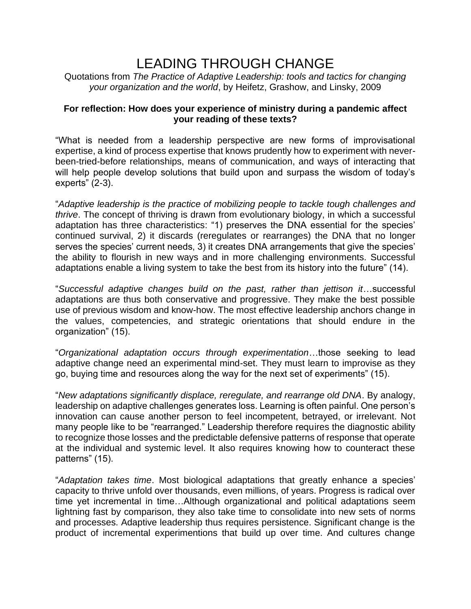## LEADING THROUGH CHANGE

Quotations from *The Practice of Adaptive Leadership: tools and tactics for changing your organization and the world*, by Heifetz, Grashow, and Linsky, 2009

## **For reflection: How does your experience of ministry during a pandemic affect your reading of these texts?**

"What is needed from a leadership perspective are new forms of improvisational expertise, a kind of process expertise that knows prudently how to experiment with neverbeen-tried-before relationships, means of communication, and ways of interacting that will help people develop solutions that build upon and surpass the wisdom of today's experts" (2-3).

"*Adaptive leadership is the practice of mobilizing people to tackle tough challenges and thrive*. The concept of thriving is drawn from evolutionary biology, in which a successful adaptation has three characteristics: "1) preserves the DNA essential for the species' continued survival, 2) it discards (reregulates or rearranges) the DNA that no longer serves the species' current needs, 3) it creates DNA arrangements that give the species' the ability to flourish in new ways and in more challenging environments. Successful adaptations enable a living system to take the best from its history into the future" (14).

"*Successful adaptive changes build on the past, rather than jettison it*…successful adaptations are thus both conservative and progressive. They make the best possible use of previous wisdom and know-how. The most effective leadership anchors change in the values, competencies, and strategic orientations that should endure in the organization" (15).

"*Organizational adaptation occurs through experimentation*…those seeking to lead adaptive change need an experimental mind-set. They must learn to improvise as they go, buying time and resources along the way for the next set of experiments" (15).

"*New adaptations significantly displace, reregulate, and rearrange old DNA*. By analogy, leadership on adaptive challenges generates loss. Learning is often painful. One person's innovation can cause another person to feel incompetent, betrayed, or irrelevant. Not many people like to be "rearranged." Leadership therefore requires the diagnostic ability to recognize those losses and the predictable defensive patterns of response that operate at the individual and systemic level. It also requires knowing how to counteract these patterns" (15).

"*Adaptation takes time*. Most biological adaptations that greatly enhance a species' capacity to thrive unfold over thousands, even millions, of years. Progress is radical over time yet incremental in time…Although organizational and political adaptations seem lightning fast by comparison, they also take time to consolidate into new sets of norms and processes. Adaptive leadership thus requires persistence. Significant change is the product of incremental experimentions that build up over time. And cultures change